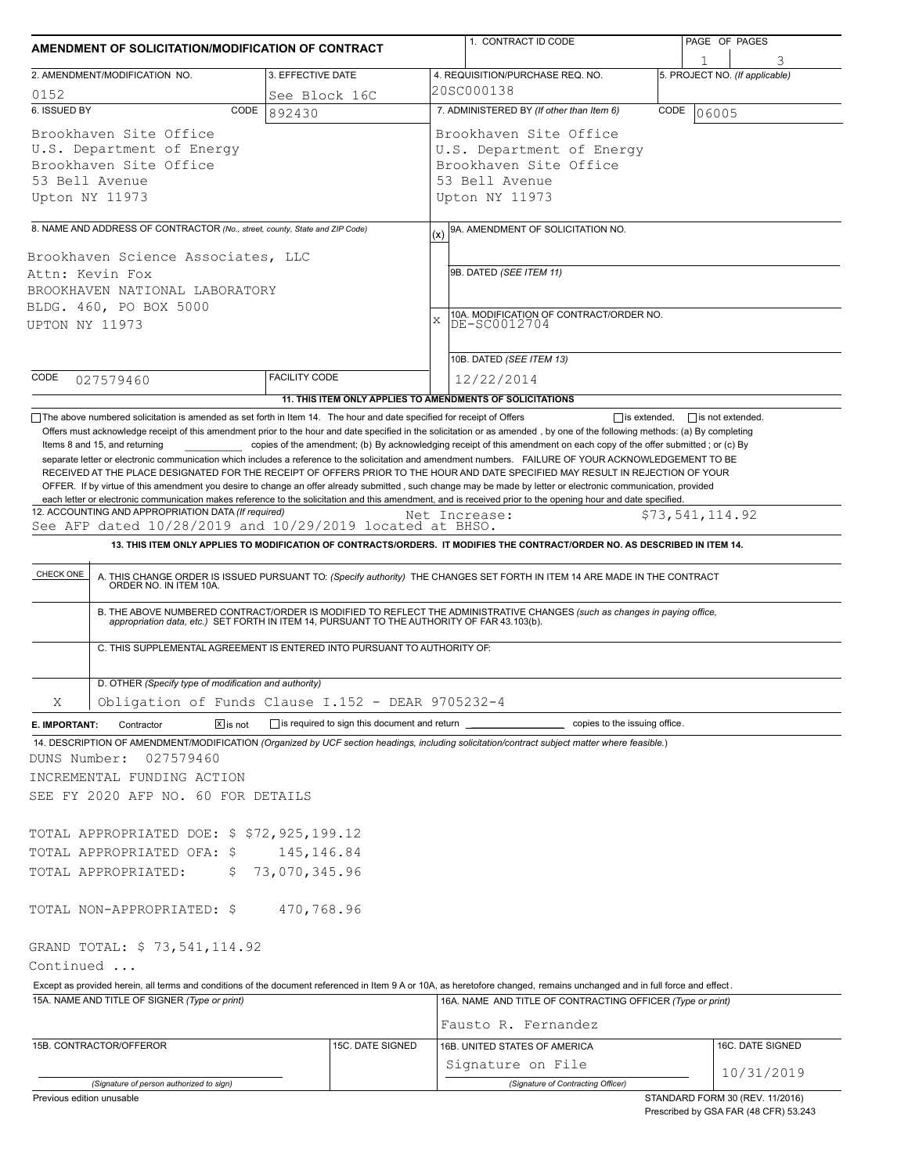| 3. EFFECTIVE DATE<br>2. AMENDMENT/MODIFICATION NO.<br>0152<br>See Block 16C<br>6. ISSUED BY<br>CODE<br>892430<br>Brookhaven Site Office<br>U.S. Department of Energy<br>Brookhaven Site Office<br>53 Bell Avenue<br>Upton NY 11973<br>8. NAME AND ADDRESS OF CONTRACTOR (No., street, county, State and ZIP Code)<br>Brookhaven Science Associates, LLC<br>Attn: Kevin Fox<br>BROOKHAVEN NATIONAL LABORATORY<br>BLDG. 460, PO BOX 5000<br>UPTON NY 11973<br><b>FACILITY CODE</b><br>CODE<br>027579460<br>11. THIS ITEM ONLY APPLIES TO AMENDMENTS OF SOLICITATIONS<br>The above numbered solicitation is amended as set forth in Item 14. The hour and date specified for receipt of Offers<br>Offers must acknowledge receipt of this amendment prior to the hour and date specified in the solicitation or as amended, by one of the following methods: (a) By completing<br>Items 8 and 15, and returning<br>copies of the amendment; (b) By acknowledging receipt of this amendment on each copy of the offer submitted; or (c) By | 4. REQUISITION/PURCHASE REQ. NO.<br>20SC000138<br>7. ADMINISTERED BY (If other than Item 6)<br>Brookhaven Site Office<br>U.S. Department of Energy<br>Brookhaven Site Office<br>53 Bell Avenue<br>Upton NY 11973<br>9A. AMENDMENT OF SOLICITATION NO.<br>(x)<br>9B. DATED (SEE ITEM 11)<br>10A. MODIFICATION OF CONTRACT/ORDER NO.<br>DE-SC0012704<br>$\mathbf x$<br>10B. DATED (SEE ITEM 13)<br>12/22/2014 | 1<br>5. PROJECT NO. (If applicable)<br>CODE<br>06005 |
|----------------------------------------------------------------------------------------------------------------------------------------------------------------------------------------------------------------------------------------------------------------------------------------------------------------------------------------------------------------------------------------------------------------------------------------------------------------------------------------------------------------------------------------------------------------------------------------------------------------------------------------------------------------------------------------------------------------------------------------------------------------------------------------------------------------------------------------------------------------------------------------------------------------------------------------------------------------------------------------------------------------------------------------|-------------------------------------------------------------------------------------------------------------------------------------------------------------------------------------------------------------------------------------------------------------------------------------------------------------------------------------------------------------------------------------------------------------|------------------------------------------------------|
|                                                                                                                                                                                                                                                                                                                                                                                                                                                                                                                                                                                                                                                                                                                                                                                                                                                                                                                                                                                                                                        |                                                                                                                                                                                                                                                                                                                                                                                                             |                                                      |
|                                                                                                                                                                                                                                                                                                                                                                                                                                                                                                                                                                                                                                                                                                                                                                                                                                                                                                                                                                                                                                        |                                                                                                                                                                                                                                                                                                                                                                                                             |                                                      |
|                                                                                                                                                                                                                                                                                                                                                                                                                                                                                                                                                                                                                                                                                                                                                                                                                                                                                                                                                                                                                                        |                                                                                                                                                                                                                                                                                                                                                                                                             |                                                      |
|                                                                                                                                                                                                                                                                                                                                                                                                                                                                                                                                                                                                                                                                                                                                                                                                                                                                                                                                                                                                                                        |                                                                                                                                                                                                                                                                                                                                                                                                             |                                                      |
|                                                                                                                                                                                                                                                                                                                                                                                                                                                                                                                                                                                                                                                                                                                                                                                                                                                                                                                                                                                                                                        |                                                                                                                                                                                                                                                                                                                                                                                                             |                                                      |
|                                                                                                                                                                                                                                                                                                                                                                                                                                                                                                                                                                                                                                                                                                                                                                                                                                                                                                                                                                                                                                        |                                                                                                                                                                                                                                                                                                                                                                                                             |                                                      |
|                                                                                                                                                                                                                                                                                                                                                                                                                                                                                                                                                                                                                                                                                                                                                                                                                                                                                                                                                                                                                                        |                                                                                                                                                                                                                                                                                                                                                                                                             |                                                      |
|                                                                                                                                                                                                                                                                                                                                                                                                                                                                                                                                                                                                                                                                                                                                                                                                                                                                                                                                                                                                                                        |                                                                                                                                                                                                                                                                                                                                                                                                             |                                                      |
|                                                                                                                                                                                                                                                                                                                                                                                                                                                                                                                                                                                                                                                                                                                                                                                                                                                                                                                                                                                                                                        |                                                                                                                                                                                                                                                                                                                                                                                                             |                                                      |
|                                                                                                                                                                                                                                                                                                                                                                                                                                                                                                                                                                                                                                                                                                                                                                                                                                                                                                                                                                                                                                        |                                                                                                                                                                                                                                                                                                                                                                                                             |                                                      |
|                                                                                                                                                                                                                                                                                                                                                                                                                                                                                                                                                                                                                                                                                                                                                                                                                                                                                                                                                                                                                                        |                                                                                                                                                                                                                                                                                                                                                                                                             |                                                      |
| each letter or electronic communication makes reference to the solicitation and this amendment, and is received prior to the opening hour and date specified.<br>12. ACCOUNTING AND APPROPRIATION DATA (If required)<br>See AFP dated 10/28/2019 and 10/29/2019 located at BHSO.<br>13. THIS ITEM ONLY APPLIES TO MODIFICATION OF CONTRACTS/ORDERS. IT MODIFIES THE CONTRACT/ORDER NO. AS DESCRIBED IN ITEM 14.<br>CHECK ONE<br>A. THIS CHANGE ORDER IS ISSUED PURSUANT TO: (Specify authority) THE CHANGES SET FORTH IN ITEM 14 ARE MADE IN THE CONTRACT ORDER NO. IN ITEM 10A.<br>B. THE ABOVE NUMBERED CONTRACT/ORDER IS MODIFIED TO REFLECT THE ADMINISTRATIVE CHANGES (such as changes in paying office,<br>appropriation data, etc.) SET FORTH IN ITEM 14, PURSUANT TO THE AUTHORITY OF FAR 43.103(b).                                                                                                                                                                                                                           | Net Increase:                                                                                                                                                                                                                                                                                                                                                                                               | \$73,541,114.92                                      |
| C. THIS SUPPLEMENTAL AGREEMENT IS ENTERED INTO PURSUANT TO AUTHORITY OF:                                                                                                                                                                                                                                                                                                                                                                                                                                                                                                                                                                                                                                                                                                                                                                                                                                                                                                                                                               |                                                                                                                                                                                                                                                                                                                                                                                                             |                                                      |
| D. OTHER (Specify type of modification and authority)                                                                                                                                                                                                                                                                                                                                                                                                                                                                                                                                                                                                                                                                                                                                                                                                                                                                                                                                                                                  |                                                                                                                                                                                                                                                                                                                                                                                                             |                                                      |
| Obligation of Funds Clause I.152 - DEAR 9705232-4<br>Χ                                                                                                                                                                                                                                                                                                                                                                                                                                                                                                                                                                                                                                                                                                                                                                                                                                                                                                                                                                                 |                                                                                                                                                                                                                                                                                                                                                                                                             |                                                      |
| $\boxed{\mathsf{x}}$ is not<br>is required to sign this document and return ______<br>Contractor<br>E. IMPORTANT:<br>14. DESCRIPTION OF AMENDMENT/MODIFICATION (Organized by UCF section headings, including solicitation/contract subject matter where feasible.)<br>027579460<br>DUNS Number:<br>INCREMENTAL FUNDING ACTION<br>SEE FY 2020 AFP NO. 60 FOR DETAILS                                                                                                                                                                                                                                                                                                                                                                                                                                                                                                                                                                                                                                                                    | copies to the issuing office.                                                                                                                                                                                                                                                                                                                                                                               |                                                      |
| TOTAL APPROPRIATED DOE: \$ \$72,925,199.12                                                                                                                                                                                                                                                                                                                                                                                                                                                                                                                                                                                                                                                                                                                                                                                                                                                                                                                                                                                             |                                                                                                                                                                                                                                                                                                                                                                                                             |                                                      |
| 145,146.84<br>TOTAL APPROPRIATED OFA: \$<br>73,070,345.96<br>TOTAL APPROPRIATED:<br>\$.                                                                                                                                                                                                                                                                                                                                                                                                                                                                                                                                                                                                                                                                                                                                                                                                                                                                                                                                                |                                                                                                                                                                                                                                                                                                                                                                                                             |                                                      |
| 470,768.96<br>TOTAL NON-APPROPRIATED: \$                                                                                                                                                                                                                                                                                                                                                                                                                                                                                                                                                                                                                                                                                                                                                                                                                                                                                                                                                                                               |                                                                                                                                                                                                                                                                                                                                                                                                             |                                                      |
| GRAND TOTAL: \$73,541,114.92<br>Continued                                                                                                                                                                                                                                                                                                                                                                                                                                                                                                                                                                                                                                                                                                                                                                                                                                                                                                                                                                                              |                                                                                                                                                                                                                                                                                                                                                                                                             |                                                      |
| Except as provided herein, all terms and conditions of the document referenced in Item 9 A or 10A, as heretofore changed, remains unchanged and in full force and effect.                                                                                                                                                                                                                                                                                                                                                                                                                                                                                                                                                                                                                                                                                                                                                                                                                                                              |                                                                                                                                                                                                                                                                                                                                                                                                             |                                                      |
| 15A. NAME AND TITLE OF SIGNER (Type or print)                                                                                                                                                                                                                                                                                                                                                                                                                                                                                                                                                                                                                                                                                                                                                                                                                                                                                                                                                                                          | 16A. NAME AND TITLE OF CONTRACTING OFFICER (Type or print)<br>Fausto R. Fernandez                                                                                                                                                                                                                                                                                                                           |                                                      |
| 15B. CONTRACTOR/OFFEROR<br>15C. DATE SIGNED                                                                                                                                                                                                                                                                                                                                                                                                                                                                                                                                                                                                                                                                                                                                                                                                                                                                                                                                                                                            | 16B. UNITED STATES OF AMERICA                                                                                                                                                                                                                                                                                                                                                                               | 16C. DATE SIGNED                                     |
|                                                                                                                                                                                                                                                                                                                                                                                                                                                                                                                                                                                                                                                                                                                                                                                                                                                                                                                                                                                                                                        | Signature on File                                                                                                                                                                                                                                                                                                                                                                                           |                                                      |
| (Signature of person authorized to sign)                                                                                                                                                                                                                                                                                                                                                                                                                                                                                                                                                                                                                                                                                                                                                                                                                                                                                                                                                                                               | (Signature of Contracting Officer)                                                                                                                                                                                                                                                                                                                                                                          | 10/31/2019                                           |

Prescribed by GSA FAR (48 CFR) 53.243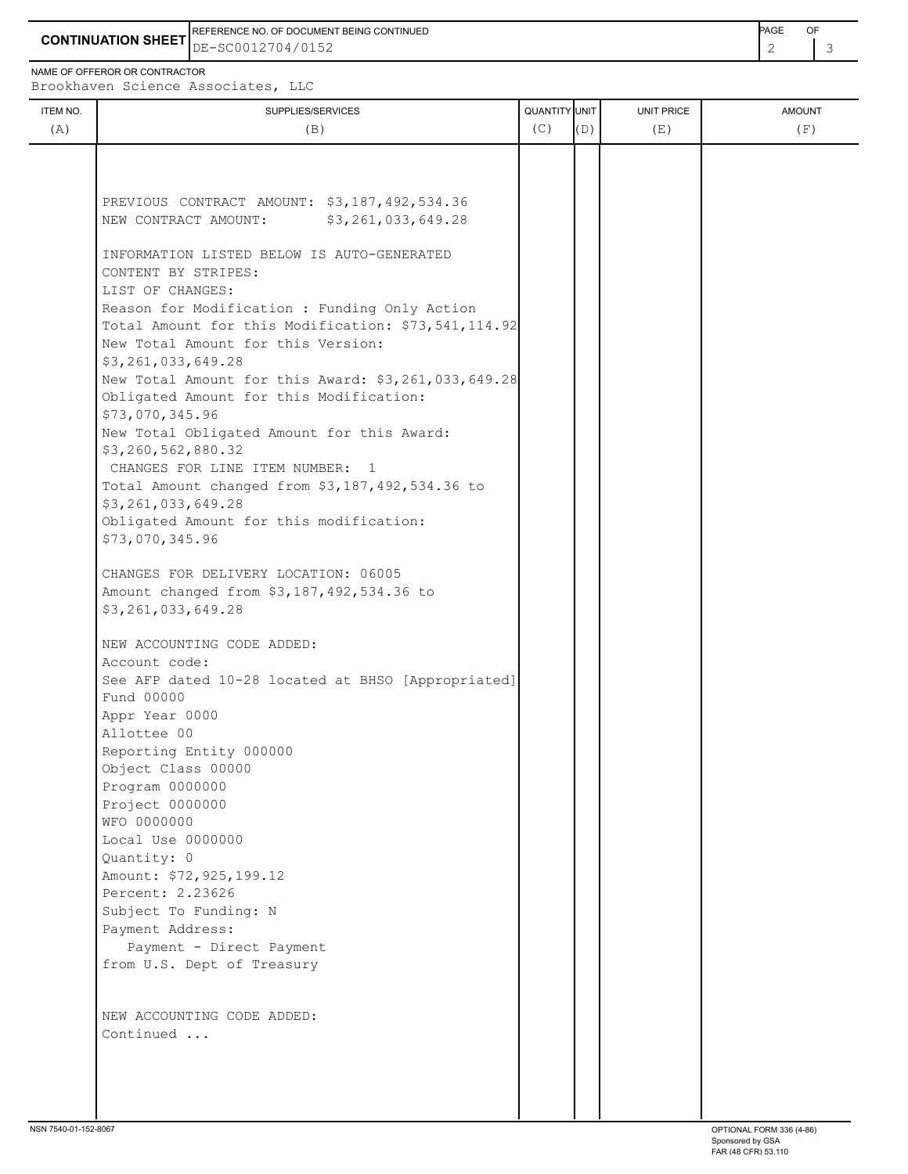**CONTINUATION SHEET** DE-SC0012704/0152 2 3 REFERENCE NO. OF DOCUMENT BEING CONTINUED **EXAMPLE A CONTINUED** 

NAME OF OFFEROR OR CONTRACTOR

Brookhaven Science Associates, LLC

| ITEM NO. | SUPPLIES/SERVICES                                                                                    | QUANTITY UNIT |     | <b>UNIT PRICE</b> | <b>AMOUNT</b> |
|----------|------------------------------------------------------------------------------------------------------|---------------|-----|-------------------|---------------|
| (A)      | (B)                                                                                                  | (C)           | (D) | (E)               | (F)           |
|          |                                                                                                      |               |     |                   |               |
|          |                                                                                                      |               |     |                   |               |
|          | PREVIOUS CONTRACT AMOUNT: \$3,187,492,534.36                                                         |               |     |                   |               |
|          | NEW CONTRACT AMOUNT:<br>\$3,261,033,649.28                                                           |               |     |                   |               |
|          |                                                                                                      |               |     |                   |               |
|          | INFORMATION LISTED BELOW IS AUTO-GENERATED                                                           |               |     |                   |               |
|          | CONTENT BY STRIPES:                                                                                  |               |     |                   |               |
|          | LIST OF CHANGES:                                                                                     |               |     |                   |               |
|          | Reason for Modification : Funding Only Action<br>Total Amount for this Modification: \$73,541,114.92 |               |     |                   |               |
|          | New Total Amount for this Version:                                                                   |               |     |                   |               |
|          | \$3,261,033,649.28                                                                                   |               |     |                   |               |
|          | New Total Amount for this Award: \$3,261,033,649.28                                                  |               |     |                   |               |
|          | Obligated Amount for this Modification:                                                              |               |     |                   |               |
|          | \$73,070,345.96                                                                                      |               |     |                   |               |
|          | New Total Obligated Amount for this Award:                                                           |               |     |                   |               |
|          | \$3,260,562,880.32                                                                                   |               |     |                   |               |
|          | CHANGES FOR LINE ITEM NUMBER: 1                                                                      |               |     |                   |               |
|          | Total Amount changed from \$3,187,492,534.36 to                                                      |               |     |                   |               |
|          | \$3,261,033,649.28<br>Obligated Amount for this modification:                                        |               |     |                   |               |
|          | \$73,070,345.96                                                                                      |               |     |                   |               |
|          |                                                                                                      |               |     |                   |               |
|          | CHANGES FOR DELIVERY LOCATION: 06005                                                                 |               |     |                   |               |
|          | Amount changed from \$3,187,492,534.36 to                                                            |               |     |                   |               |
|          | \$3,261,033,649.28                                                                                   |               |     |                   |               |
|          |                                                                                                      |               |     |                   |               |
|          | NEW ACCOUNTING CODE ADDED:<br>Account code:                                                          |               |     |                   |               |
|          | See AFP dated 10-28 located at BHSO [Appropriated]                                                   |               |     |                   |               |
|          | Fund 00000                                                                                           |               |     |                   |               |
|          | Appr Year 0000                                                                                       |               |     |                   |               |
|          | Allottee 00                                                                                          |               |     |                   |               |
|          | Reporting Entity 000000                                                                              |               |     |                   |               |
|          | Object Class 00000                                                                                   |               |     |                   |               |
|          | Program 0000000                                                                                      |               |     |                   |               |
|          | Project 0000000<br>WFO 0000000                                                                       |               |     |                   |               |
|          | Local Use 0000000                                                                                    |               |     |                   |               |
|          | Quantity: 0                                                                                          |               |     |                   |               |
|          | Amount: \$72,925,199.12                                                                              |               |     |                   |               |
|          | Percent: 2.23626                                                                                     |               |     |                   |               |
|          | Subject To Funding: N                                                                                |               |     |                   |               |
|          | Payment Address:                                                                                     |               |     |                   |               |
|          | Payment - Direct Payment                                                                             |               |     |                   |               |
|          | from U.S. Dept of Treasury                                                                           |               |     |                   |               |
|          | NEW ACCOUNTING CODE ADDED:                                                                           |               |     |                   |               |
|          | Continued                                                                                            |               |     |                   |               |
|          |                                                                                                      |               |     |                   |               |
|          |                                                                                                      |               |     |                   |               |
|          |                                                                                                      |               |     |                   |               |
|          |                                                                                                      |               |     |                   |               |